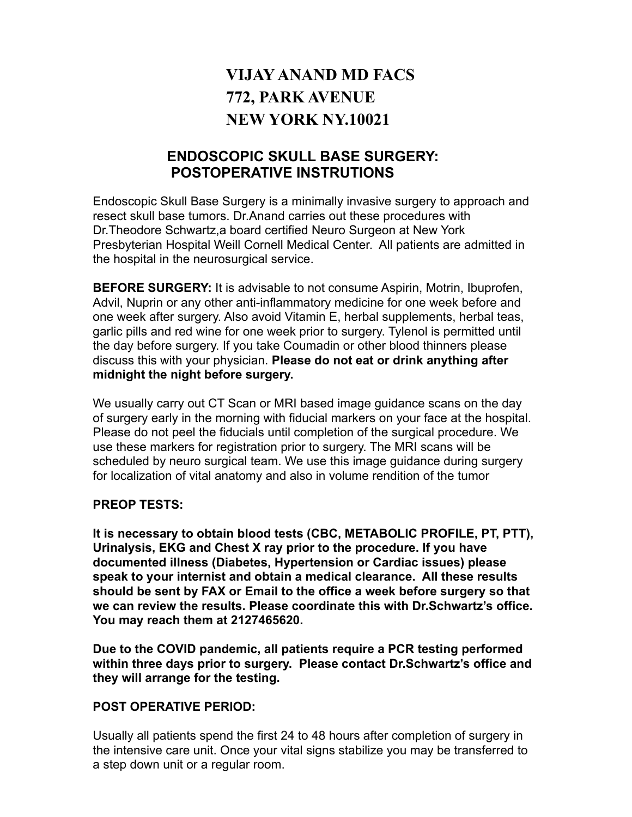# **VIJAY ANAND MD FACS 772, PARK AVENUE NEW YORK NY.10021**

# **ENDOSCOPIC SKULL BASE SURGERY: POSTOPERATIVE INSTRUTIONS**

Endoscopic Skull Base Surgery is a minimally invasive surgery to approach and resect skull base tumors. Dr.Anand carries out these procedures with Dr.Theodore Schwartz,a board certified Neuro Surgeon at New York Presbyterian Hospital Weill Cornell Medical Center. All patients are admitted in the hospital in the neurosurgical service.

**BEFORE SURGERY:** It is advisable to not consume Aspirin, Motrin, Ibuprofen, Advil, Nuprin or any other anti-inflammatory medicine for one week before and one week after surgery. Also avoid Vitamin E, herbal supplements, herbal teas, garlic pills and red wine for one week prior to surgery. Tylenol is permitted until the day before surgery. If you take Coumadin or other blood thinners please discuss this with your physician. **Please do not eat or drink anything after midnight the night before surgery.** 

We usually carry out CT Scan or MRI based image guidance scans on the day of surgery early in the morning with fiducial markers on your face at the hospital. Please do not peel the fiducials until completion of the surgical procedure. We use these markers for registration prior to surgery. The MRI scans will be scheduled by neuro surgical team. We use this image guidance during surgery for localization of vital anatomy and also in volume rendition of the tumor

# **PREOP TESTS:**

**It is necessary to obtain blood tests (CBC, METABOLIC PROFILE, PT, PTT), Urinalysis, EKG and Chest X ray prior to the procedure. If you have documented illness (Diabetes, Hypertension or Cardiac issues) please speak to your internist and obtain a medical clearance. All these results should be sent by FAX or Email to the office a week before surgery so that we can review the results. Please coordinate this with Dr.Schwartz's office. You may reach them at 2127465620.**

**Due to the COVID pandemic, all patients require a PCR testing performed within three days prior to surgery. Please contact Dr.Schwartz's office and they will arrange for the testing.**

# **POST OPERATIVE PERIOD:**

Usually all patients spend the first 24 to 48 hours after completion of surgery in the intensive care unit. Once your vital signs stabilize you may be transferred to a step down unit or a regular room.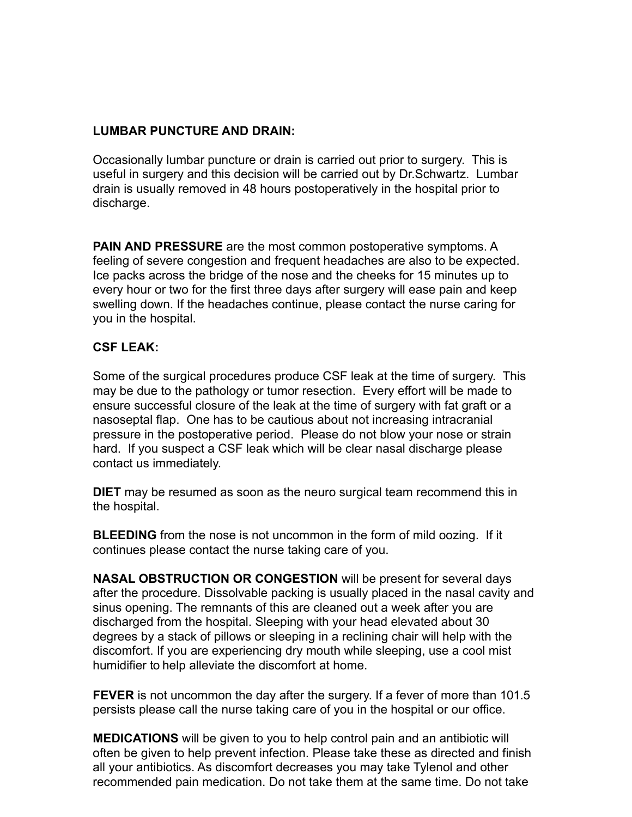#### **LUMBAR PUNCTURE AND DRAIN:**

Occasionally lumbar puncture or drain is carried out prior to surgery. This is useful in surgery and this decision will be carried out by Dr.Schwartz. Lumbar drain is usually removed in 48 hours postoperatively in the hospital prior to discharge.

**PAIN AND PRESSURE** are the most common postoperative symptoms. A feeling of severe congestion and frequent headaches are also to be expected. Ice packs across the bridge of the nose and the cheeks for 15 minutes up to every hour or two for the first three days after surgery will ease pain and keep swelling down. If the headaches continue, please contact the nurse caring for you in the hospital.

#### **CSF LEAK:**

Some of the surgical procedures produce CSF leak at the time of surgery. This may be due to the pathology or tumor resection. Every effort will be made to ensure successful closure of the leak at the time of surgery with fat graft or a nasoseptal flap. One has to be cautious about not increasing intracranial pressure in the postoperative period. Please do not blow your nose or strain hard. If you suspect a CSF leak which will be clear nasal discharge please contact us immediately.

**DIET** may be resumed as soon as the neuro surgical team recommend this in the hospital.

**BLEEDING** from the nose is not uncommon in the form of mild oozing. If it continues please contact the nurse taking care of you.

**NASAL OBSTRUCTION OR CONGESTION** will be present for several days after the procedure. Dissolvable packing is usually placed in the nasal cavity and sinus opening. The remnants of this are cleaned out a week after you are discharged from the hospital. Sleeping with your head elevated about 30 degrees by a stack of pillows or sleeping in a reclining chair will help with the discomfort. If you are experiencing dry mouth while sleeping, use a cool mist humidifier to help alleviate the discomfort at home.

**FEVER** is not uncommon the day after the surgery. If a fever of more than 101.5 persists please call the nurse taking care of you in the hospital or our office.

**MEDICATIONS** will be given to you to help control pain and an antibiotic will often be given to help prevent infection. Please take these as directed and finish all your antibiotics. As discomfort decreases you may take Tylenol and other recommended pain medication. Do not take them at the same time. Do not take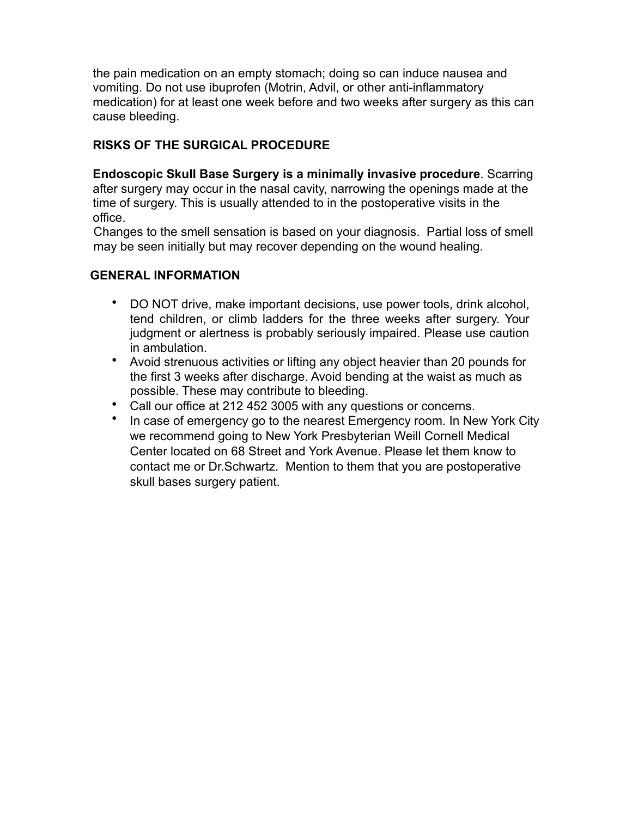the pain medication on an empty stomach; doing so can induce nausea and vomiting. Do not use ibuprofen (Motrin, Advil, or other anti-inflammatory medication) for at least one week before and two weeks after surgery as this can cause bleeding.

# **RISKS OF THE SURGICAL PROCEDURE**

**Endoscopic Skull Base Surgery is a minimally invasive procedure**. Scarring after surgery may occur in the nasal cavity, narrowing the openings made at the time of surgery. This is usually attended to in the postoperative visits in the office.

 Changes to the smell sensation is based on your diagnosis. Partial loss of smell may be seen initially but may recover depending on the wound healing.

#### **GENERAL INFORMATION**

- DO NOT drive, make important decisions, use power tools, drink alcohol, tend children, or climb ladders for the three weeks after surgery. Your judgment or alertness is probably seriously impaired. Please use caution in ambulation.
- Avoid strenuous activities or lifting any object heavier than 20 pounds for the first 3 weeks after discharge. Avoid bending at the waist as much as possible. These may contribute to bleeding.
- Call our office at 212 452 3005 with any questions or concerns.
- In case of emergency go to the nearest Emergency room. In New York City we recommend going to New York Presbyterian Weill Cornell Medical Center located on 68 Street and York Avenue. Please let them know to contact me or Dr.Schwartz. Mention to them that you are postoperative skull bases surgery patient.